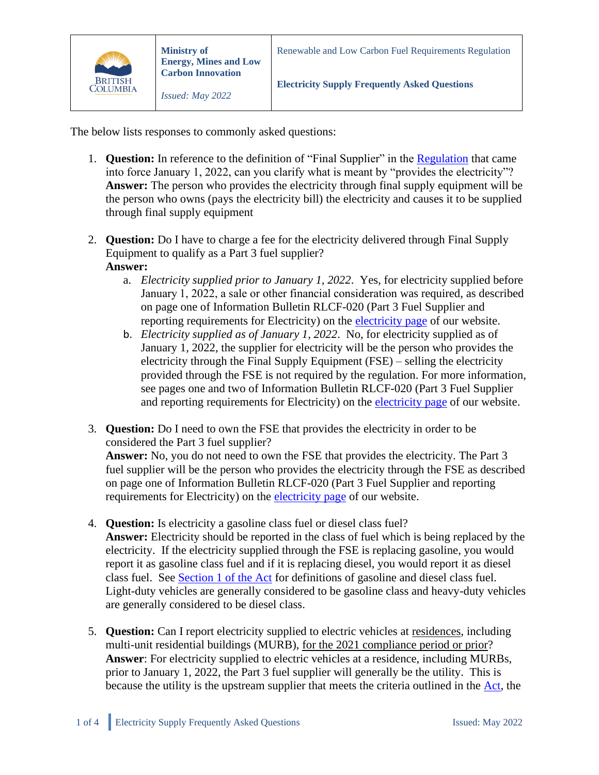

The below lists responses to commonly asked questions:

- 1. **Question:** In reference to the definition of "Final Supplier" in the [Regulation](https://www.bclaws.gov.bc.ca/civix/document/id/complete/statreg/394_2008#section6.11) that came into force January 1, 2022, can you clarify what is meant by "provides the electricity"? **Answer:** The person who provides the electricity through final supply equipment will be the person who owns (pays the electricity bill) the electricity and causes it to be supplied through final supply equipment
- 2. **Question:** Do I have to charge a fee for the electricity delivered through Final Supply Equipment to qualify as a Part 3 fuel supplier?

## **Answer:**

- a. *Electricity supplied prior to January 1, 2022*. Yes, for electricity supplied before January 1, 2022, a sale or other financial consideration was required, as described on page one of Information Bulletin RLCF-020 (Part 3 Fuel Supplier and reporting requirements for Electricity) on the [electricity page](https://www2.gov.bc.ca/gov/content/industry/electricity-alternative-energy/transportation-energies/renewable-low-carbon-fuels/requirements/electricity) of our website.
- b. *Electricity supplied as of January 1, 2022*. No, for electricity supplied as of January 1, 2022, the supplier for electricity will be the person who provides the electricity through the Final Supply Equipment (FSE) – selling the electricity provided through the FSE is not required by the regulation. For more information, see pages one and two of Information Bulletin RLCF-020 (Part 3 Fuel Supplier and reporting requirements for Electricity) on the [electricity page](https://www2.gov.bc.ca/gov/content/industry/electricity-alternative-energy/transportation-energies/renewable-low-carbon-fuels/requirements/electricity) of our website.
- 3. **Question:** Do I need to own the FSE that provides the electricity in order to be considered the Part 3 fuel supplier? **Answer:** No, you do not need to own the FSE that provides the electricity. The Part 3 fuel supplier will be the person who provides the electricity through the FSE as described on page one of Information Bulletin RLCF-020 (Part 3 Fuel Supplier and reporting requirements for Electricity) on the [electricity page](https://www2.gov.bc.ca/gov/content/industry/electricity-alternative-energy/transportation-energies/renewable-low-carbon-fuels/requirements/electricity) of our website.
- 4. **Question:** Is electricity a gasoline class fuel or diesel class fuel? **Answer:** Electricity should be reported in the class of fuel which is being replaced by the electricity. If the electricity supplied through the FSE is replacing gasoline, you would report it as gasoline class fuel and if it is replacing diesel, you would report it as diesel class fuel. See [Section 1 of the Act](https://www.bclaws.gov.bc.ca/civix/document/id/complete/statreg/394_2008#section1) for definitions of gasoline and diesel class fuel. Light-duty vehicles are generally considered to be gasoline class and heavy-duty vehicles are generally considered to be diesel class.
- 5. **Question:** Can I report electricity supplied to electric vehicles at residences, including multi-unit residential buildings (MURB), for the 2021 compliance period or prior? **Answer**: For electricity supplied to electric vehicles at a residence, including MURBs, prior to January 1, 2022, the Part 3 fuel supplier will generally be the utility. This is because the utility is the upstream supplier that meets the criteria outlined in the [Act,](https://www.bclaws.gov.bc.ca/civix/document/id/complete/statreg/08016_01) the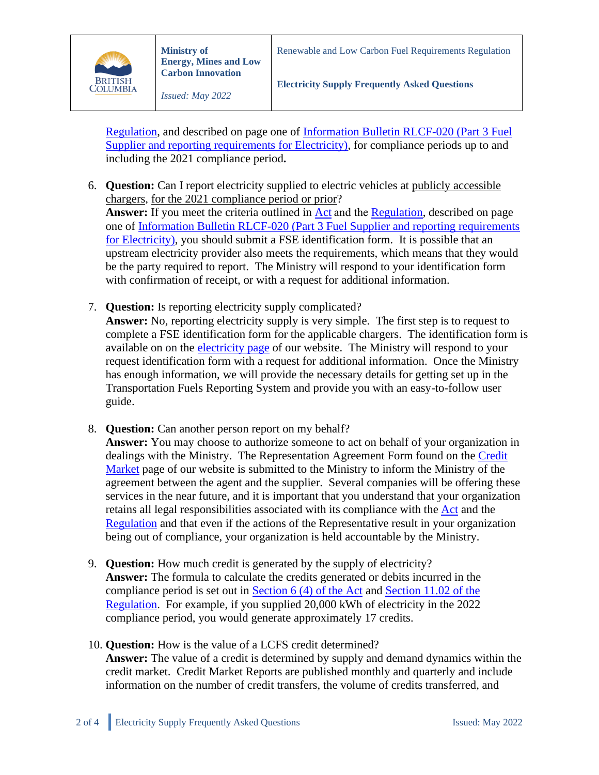

[Regulation,](https://www.bclaws.gov.bc.ca/civix/document/id/complete/statreg/394_2008) and described on page one of [Information Bulletin RLCF-020 \(Part 3 Fuel](https://www2.gov.bc.ca/gov/content/industry/electricity-alternative-energy/transportation-energies/renewable-low-carbon-fuels/information-bulletins)  [Supplier and reporting requirements for Electricity\),](https://www2.gov.bc.ca/gov/content/industry/electricity-alternative-energy/transportation-energies/renewable-low-carbon-fuels/information-bulletins) for compliance periods up to and including the 2021 compliance period**.**

- 6. **Question:** Can I report electricity supplied to electric vehicles at publicly accessible chargers, for the 2021 compliance period or prior? Answer: If you meet the criteria outlined in **Act** and the [Regulation,](https://www.bclaws.gov.bc.ca/civix/document/id/complete/statreg/394_2008) described on page one of [Information Bulletin RLCF-020 \(Part 3 Fuel Supplier and reporting requirements](https://www2.gov.bc.ca/gov/content/industry/electricity-alternative-energy/transportation-energies/renewable-low-carbon-fuels/information-bulletins)  [for Electricity\),](https://www2.gov.bc.ca/gov/content/industry/electricity-alternative-energy/transportation-energies/renewable-low-carbon-fuels/information-bulletins) you should submit a FSE identification form. It is possible that an upstream electricity provider also meets the requirements, which means that they would be the party required to report. The Ministry will respond to your identification form with confirmation of receipt, or with a request for additional information.
- 7. **Question:** Is reporting electricity supply complicated? **Answer:** No, reporting electricity supply is very simple. The first step is to request to complete a FSE identification form for the applicable chargers. The identification form is available on on the [electricity page](https://www2.gov.bc.ca/gov/content/industry/electricity-alternative-energy/transportation-energies/renewable-low-carbon-fuels/requirements/electricity) of our website. The Ministry will respond to your request identification form with a request for additional information. Once the Ministry has enough information, we will provide the necessary details for getting set up in the Transportation Fuels Reporting System and provide you with an easy-to-follow user guide.
- 8. **Question:** Can another person report on my behalf?

**Answer:** You may choose to authorize someone to act on behalf of your organization in dealings with the Ministry. The Representation Agreement Form found on the [Credit](https://www2.gov.bc.ca/gov/content/industry/electricity-alternative-energy/transportation-energies/renewable-low-carbon-fuels/credits-market)  [Market](https://www2.gov.bc.ca/gov/content/industry/electricity-alternative-energy/transportation-energies/renewable-low-carbon-fuels/credits-market) page of our website is submitted to the Ministry to inform the Ministry of the agreement between the agent and the supplier. Several companies will be offering these services in the near future, and it is important that you understand that your organization retains all legal responsibilities associated with its compliance with the [Act](https://www.bclaws.gov.bc.ca/civix/document/id/complete/statreg/08016_01) and the [Regulation](https://www.bclaws.gov.bc.ca/civix/document/id/complete/statreg/394_2008) and that even if the actions of the Representative result in your organization being out of compliance, your organization is held accountable by the Ministry.

- 9. **Question:** How much credit is generated by the supply of electricity? **Answer:** The formula to calculate the credits generated or debits incurred in the compliance period is set out in [Section 6 \(4\) of the Act](https://www.bclaws.gov.bc.ca/civix/document/id/complete/statreg/08016_01#section6) and [Section 11.02 of the](https://www.bclaws.gov.bc.ca/civix/document/id/complete/statreg/394_2008#section11.02)  [Regulation.](https://www.bclaws.gov.bc.ca/civix/document/id/complete/statreg/394_2008#section11.02) For example, if you supplied 20,000 kWh of electricity in the 2022 compliance period, you would generate approximately 17 credits.
- 10. **Question:** How is the value of a LCFS credit determined? **Answer:** The value of a credit is determined by supply and demand dynamics within the credit market. Credit Market Reports are published monthly and quarterly and include information on the number of credit transfers, the volume of credits transferred, and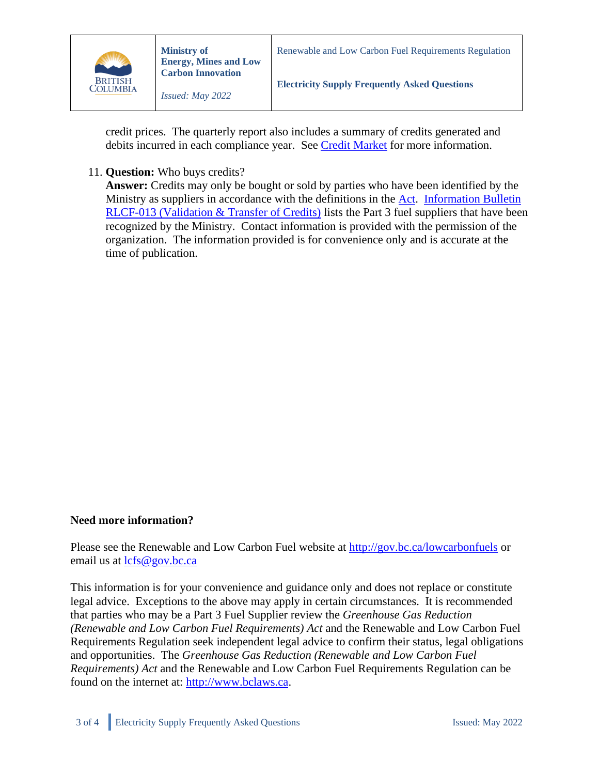

credit prices. The quarterly report also includes a summary of credits generated and debits incurred in each compliance year. See [Credit Market](https://www2.gov.bc.ca/gov/content/industry/electricity-alternative-energy/transportation-energies/renewable-low-carbon-fuels/credits-market) for more information.

## 11. **Question:** Who buys credits?

**Answer:** Credits may only be bought or sold by parties who have been identified by the Ministry as suppliers in accordance with the definitions in the [Act.](https://www.bclaws.gov.bc.ca/civix/document/id/complete/statreg/08016_01) [Information Bulletin](https://www2.gov.bc.ca/gov/content/industry/electricity-alternative-energy/transportation-energies/renewable-low-carbon-fuels/information-bulletins)  [RLCF-013 \(Validation & Transfer of Credits\)](https://www2.gov.bc.ca/gov/content/industry/electricity-alternative-energy/transportation-energies/renewable-low-carbon-fuels/information-bulletins) lists the Part 3 fuel suppliers that have been recognized by the Ministry. Contact information is provided with the permission of the organization. The information provided is for convenience only and is accurate at the time of publication.

## **Need more information?**

Please see the Renewable and Low Carbon Fuel website at<http://gov.bc.ca/lowcarbonfuels> or email us at  $lcfs@gov.bc.ca$ 

This information is for your convenience and guidance only and does not replace or constitute legal advice. Exceptions to the above may apply in certain circumstances. It is recommended that parties who may be a Part 3 Fuel Supplier review the *Greenhouse Gas Reduction (Renewable and Low Carbon Fuel Requirements) Act* and the Renewable and Low Carbon Fuel Requirements Regulation seek independent legal advice to confirm their status, legal obligations and opportunities. The *Greenhouse Gas Reduction (Renewable and Low Carbon Fuel Requirements) Act* and the Renewable and Low Carbon Fuel Requirements Regulation can be found on the internet at: [http://www.bclaws.ca.](http://www.bclaws.ca/)